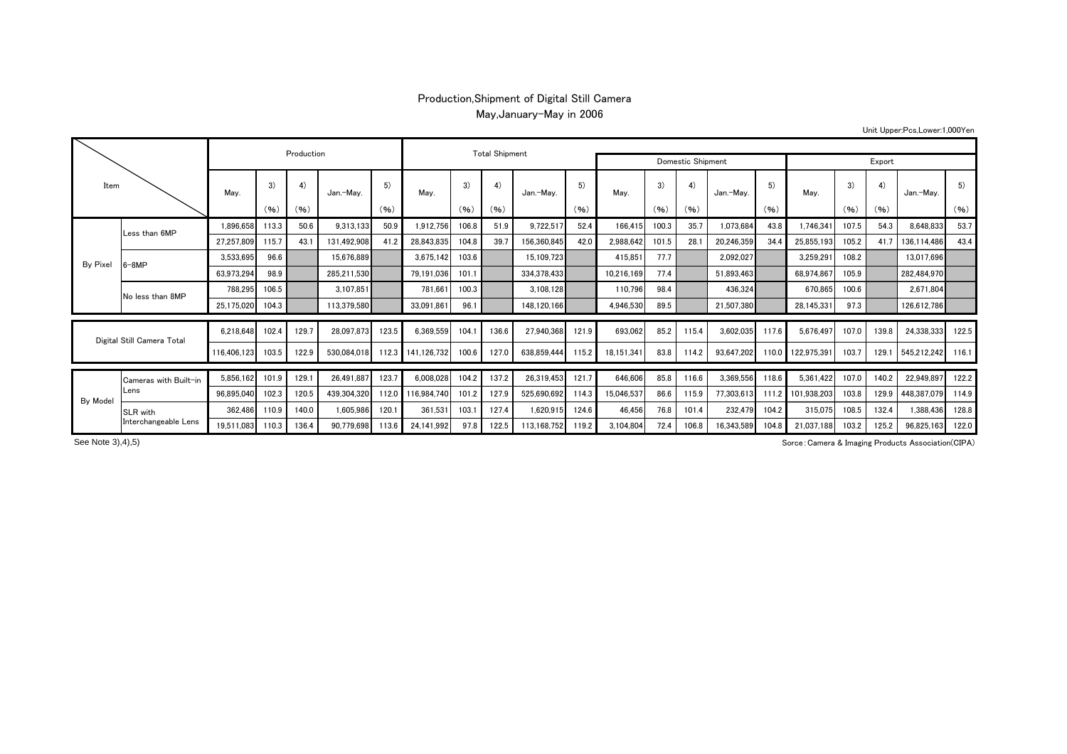## Production,Shipment of Digital Still Camera May,January-May in 2006

Unit Upper:Pcs,Lower:1,000Yen

| Item                       |                                  |             | Production |       | <b>Total Shipment</b> |       |             |       |       |                   |            |            |       |       |            |       |             |       |       |             |       |
|----------------------------|----------------------------------|-------------|------------|-------|-----------------------|-------|-------------|-------|-------|-------------------|------------|------------|-------|-------|------------|-------|-------------|-------|-------|-------------|-------|
|                            |                                  |             |            |       |                       |       |             |       |       | Domestic Shipment | Export     |            |       |       |            |       |             |       |       |             |       |
|                            |                                  | Mav.        | 3)         | 4)    | Jan.-Mav.             | 5)    | Mav.        | 3)    | 4)    | Jan.-Mav.         | 5)<br>(96) | Mav.       | 3)    | 4)    | Jan.-Mav.  | 5)    | Mav.        | 3)    | 4)    | Jan.-Mav.   | 5)    |
|                            |                                  |             | (96)       | (96)  |                       | (96)  |             | (96)  | (96)  |                   |            |            | (96)  | (96)  |            | (96)  |             | (96)  | (96)  |             | (96)  |
|                            | ess than 6MP                     | 1.896.658   | 113.3      | 50.6  | 9,313,133             | 50.9  | 1,912,756   | 106.8 | 51.9  | 9,722,517         | 52.4       | 166.415    | 100.3 | 35.7  | 1,073,684  | 43.8  | 1,746,341   | 107.5 | 54.3  | 8,648,833   | 53.7  |
|                            |                                  | 27,257,809  | 115.7      | 43.1  | 131,492,908           | 41.2  | 28,843,835  | 104.8 | 39.7  | 156,360,845       | 42.0       | 2,988,642  | 101.5 | 28.1  | 20.246.359 | 34.4  | 25,855,193  | 105.2 | 41.7  | 136,114,486 | 43.4  |
| By Pixel                   | $3-8MP$                          | 3,533,695   | 96.6       |       | 15,676,889            |       | 3,675,142   | 103.6 |       | 15,109,723        |            | 415,851    | 77.7  |       | 2,092,027  |       | 3,259,291   | 108.2 |       | 13,017,696  |       |
|                            |                                  | 63,973,294  | 98.9       |       | 285,211,530           |       | 79,191,036  | 101.1 |       | 334,378,433       |            | 10,216,169 | 77.4  |       | 51,893,463 |       | 68,974,867  | 105.9 |       | 282,484,970 |       |
|                            | No less than 8MP                 | 788,295     | 106.5      |       | 3,107,851             |       | 781,661     | 100.3 |       | 3,108,128         |            | 110,796    | 98.4  |       | 436,324    |       | 670,865     | 100.6 |       | 2,671,804   |       |
|                            |                                  | 25,175,020  | 104.3      |       | 113.379.580           |       | 33,091,861  | 96.1  |       | 148.120.166       |            | 4,946,530  | 89.5  |       | 21.507.380 |       | 28,145,331  | 97.3  |       | 126,612,786 |       |
|                            |                                  |             |            |       |                       |       |             |       |       |                   |            |            |       |       |            |       |             |       |       |             |       |
| Digital Still Camera Total |                                  | 6.218.648   | 102.4      | 129.7 | 28.097.873            | 123.5 | 6,369,559   | 104.  | 136.6 | 27.940.368        | 121.9      | 693,062    | 85.2  | 115.4 | 3,602,035  | 117.6 | 5.676.497   | 107.0 | 139.8 | 24,338,333  | 122.5 |
|                            |                                  | 116.406.123 | 103.5      | 122.9 | 530.084.018           | 112.3 | 141.126.732 | 100.6 | 127.0 | 638.859.444       | 115.2      | 18,151,341 | 83.8  | 114.2 | 93.647.202 | 110.0 | 122,975,391 | 103.7 | 129.1 | 545,212,242 | 116.1 |
|                            | Cameras with Built-in<br>Lens    | 5,856,162   | 101.9      | 129.7 | 26.491.887            | 123.7 | 6,008,028   | 104.2 | 137.2 | 26.319.453        | 121.7      | 646,606    | 85.8  | 116.6 | 3.369.556  | 118.6 | 5,361,422   | 107.0 | 140.2 | 22,949,897  | 122.2 |
|                            |                                  | 96,895,040  | 102.3      | 120.5 | 439.304.320           | 112.0 | 116.984.740 | 101.2 | 127.9 | 525,690,692       | 114.3      | 15,046,537 | 86.6  | 115.9 | 77,303,613 | 111.2 | 101.938.203 | 103.8 | 129.9 | 448,387,079 | 114.9 |
| <b>By Model</b>            |                                  | 362.486     | 110.9      | 140.0 | 1,605,986             | 120.7 | 361,531     | 103.1 | 127.4 | 1,620,915         | 124.6      | 46,456     | 76.8  | 101.4 | 232,479    | 104.2 | 315,075     | 108.5 | 132.4 | 1.388.436   | 128.8 |
|                            | SLR with<br>Interchangeable Lens | 19,511,083  | 110.3      | 136.4 | 90.779.698            | 113.6 | 24.141.992  | 97.8  | 122.5 | 113.168.752       | 119.2      | 3,104,804  | 72.4  | 106.8 | 6.343.589  | 104.8 | 21.037.188  | 103.2 | 125.2 | 96.825.163  | 122.0 |
|                            |                                  |             |            |       |                       |       |             |       |       |                   |            |            |       |       |            |       |             |       |       |             |       |

See Note 3), 4), 5)

Sorce:Camera & Imaging Products Association(CIPA)